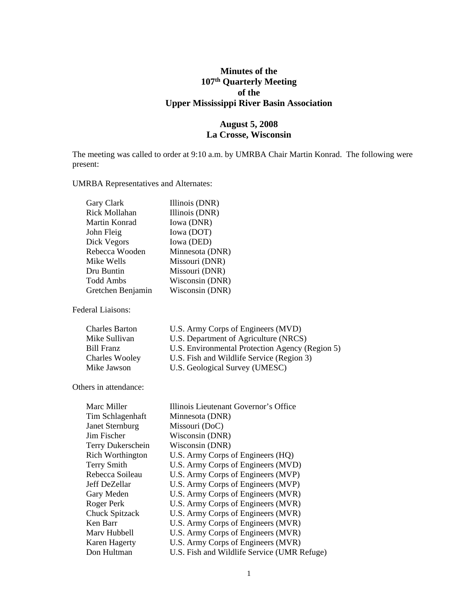# **Minutes of the 107th Quarterly Meeting of the Upper Mississippi River Basin Association**

# **August 5, 2008 La Crosse, Wisconsin**

The meeting was called to order at 9:10 a.m. by UMRBA Chair Martin Konrad. The following were present:

UMRBA Representatives and Alternates:

| Gary Clark        | Illinois (DNR)  |
|-------------------|-----------------|
| Rick Mollahan     | Illinois (DNR)  |
| Martin Konrad     | Iowa (DNR)      |
| John Fleig        | Iowa (DOT)      |
| Dick Vegors       | Iowa (DED)      |
| Rebecca Wooden    | Minnesota (DNR) |
| Mike Wells        | Missouri (DNR)  |
| Dru Buntin        | Missouri (DNR)  |
| <b>Todd Ambs</b>  | Wisconsin (DNR) |
| Gretchen Benjamin | Wisconsin (DNR) |

Federal Liaisons:

| <b>Charles Barton</b> | U.S. Army Corps of Engineers (MVD)              |
|-----------------------|-------------------------------------------------|
| Mike Sullivan         | U.S. Department of Agriculture (NRCS)           |
| Bill Franz            | U.S. Environmental Protection Agency (Region 5) |
| <b>Charles Wooley</b> | U.S. Fish and Wildlife Service (Region 3)       |
| Mike Jawson           | U.S. Geological Survey (UMESC)                  |
|                       |                                                 |

Others in attendance:

| Marc Miller           | Illinois Lieutenant Governor's Office       |
|-----------------------|---------------------------------------------|
| Tim Schlagenhaft      | Minnesota (DNR)                             |
| Janet Sternburg       | Missouri (DoC)                              |
| Jim Fischer           | Wisconsin (DNR)                             |
| Terry Dukerschein     | Wisconsin (DNR)                             |
| Rich Worthington      | U.S. Army Corps of Engineers (HQ)           |
| Terry Smith           | U.S. Army Corps of Engineers (MVD)          |
| Rebecca Soileau       | U.S. Army Corps of Engineers (MVP)          |
| Jeff DeZellar         | U.S. Army Corps of Engineers (MVP)          |
| Gary Meden            | U.S. Army Corps of Engineers (MVR)          |
| Roger Perk            | U.S. Army Corps of Engineers (MVR)          |
| <b>Chuck Spitzack</b> | U.S. Army Corps of Engineers (MVR)          |
| Ken Barr              | U.S. Army Corps of Engineers (MVR)          |
| Marv Hubbell          | U.S. Army Corps of Engineers (MVR)          |
| Karen Hagerty         | U.S. Army Corps of Engineers (MVR)          |
| Don Hultman           | U.S. Fish and Wildlife Service (UMR Refuge) |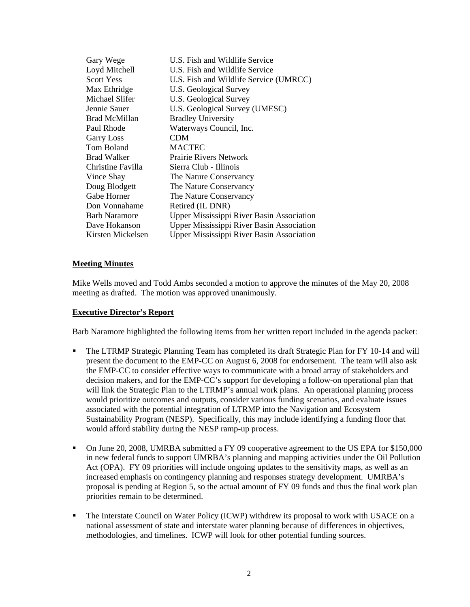| Gary Wege            | U.S. Fish and Wildlife Service                   |
|----------------------|--------------------------------------------------|
| Loyd Mitchell        | U.S. Fish and Wildlife Service                   |
| Scott Yess           | U.S. Fish and Wildlife Service (UMRCC)           |
| Max Ethridge         | U.S. Geological Survey                           |
| Michael Slifer       | <b>U.S. Geological Survey</b>                    |
| Jennie Sauer         | U.S. Geological Survey (UMESC)                   |
| <b>Brad McMillan</b> | <b>Bradley University</b>                        |
| Paul Rhode           | Waterways Council, Inc.                          |
| <b>Garry Loss</b>    | <b>CDM</b>                                       |
| Tom Boland           | <b>MACTEC</b>                                    |
| Brad Walker          | Prairie Rivers Network                           |
| Christine Favilla    | Sierra Club - Illinois                           |
| Vince Shay           | The Nature Conservancy                           |
| Doug Blodgett        | The Nature Conservancy                           |
| Gabe Horner          | The Nature Conservancy                           |
| Don Vonnahame        | Retired (IL DNR)                                 |
| Barb Naramore        | <b>Upper Mississippi River Basin Association</b> |
| Dave Hokanson        | <b>Upper Mississippi River Basin Association</b> |
| Kirsten Mickelsen    | <b>Upper Mississippi River Basin Association</b> |
|                      |                                                  |

#### **Meeting Minutes**

Mike Wells moved and Todd Ambs seconded a motion to approve the minutes of the May 20, 2008 meeting as drafted. The motion was approved unanimously.

#### **Executive Director's Report**

Barb Naramore highlighted the following items from her written report included in the agenda packet:

- The LTRMP Strategic Planning Team has completed its draft Strategic Plan for FY 10-14 and will present the document to the EMP-CC on August 6, 2008 for endorsement. The team will also ask the EMP-CC to consider effective ways to communicate with a broad array of stakeholders and decision makers, and for the EMP-CC's support for developing a follow-on operational plan that will link the Strategic Plan to the LTRMP's annual work plans. An operational planning process would prioritize outcomes and outputs, consider various funding scenarios, and evaluate issues associated with the potential integration of LTRMP into the Navigation and Ecosystem Sustainability Program (NESP). Specifically, this may include identifying a funding floor that would afford stability during the NESP ramp-up process.
- On June 20, 2008, UMRBA submitted a FY 09 cooperative agreement to the US EPA for \$150,000 in new federal funds to support UMRBA's planning and mapping activities under the Oil Pollution Act (OPA). FY 09 priorities will include ongoing updates to the sensitivity maps, as well as an increased emphasis on contingency planning and responses strategy development. UMRBA's proposal is pending at Region 5, so the actual amount of FY 09 funds and thus the final work plan priorities remain to be determined.
- The Interstate Council on Water Policy (ICWP) withdrew its proposal to work with USACE on a national assessment of state and interstate water planning because of differences in objectives, methodologies, and timelines. ICWP will look for other potential funding sources.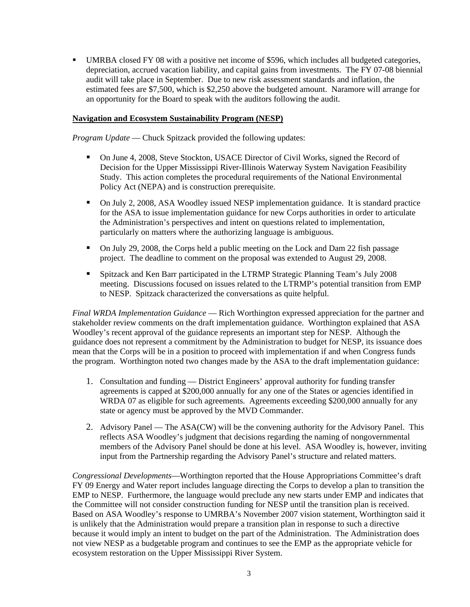UMRBA closed FY 08 with a positive net income of \$596, which includes all budgeted categories, depreciation, accrued vacation liability, and capital gains from investments. The FY 07-08 biennial audit will take place in September. Due to new risk assessment standards and inflation, the estimated fees are \$7,500, which is \$2,250 above the budgeted amount. Naramore will arrange for an opportunity for the Board to speak with the auditors following the audit.

#### **Navigation and Ecosystem Sustainability Program (NESP)**

*Program Update* — Chuck Spitzack provided the following updates:

- On June 4, 2008, Steve Stockton, USACE Director of Civil Works, signed the Record of Decision for the Upper Mississippi River-Illinois Waterway System Navigation Feasibility Study. This action completes the procedural requirements of the National Environmental Policy Act (NEPA) and is construction prerequisite.
- On July 2, 2008, ASA Woodley issued NESP implementation guidance. It is standard practice for the ASA to issue implementation guidance for new Corps authorities in order to articulate the Administration's perspectives and intent on questions related to implementation, particularly on matters where the authorizing language is ambiguous.
- On July 29, 2008, the Corps held a public meeting on the Lock and Dam 22 fish passage project. The deadline to comment on the proposal was extended to August 29, 2008.
- Spitzack and Ken Barr participated in the LTRMP Strategic Planning Team's July 2008 meeting. Discussions focused on issues related to the LTRMP's potential transition from EMP to NESP. Spitzack characterized the conversations as quite helpful.

*Final WRDA Implementation Guidance* — Rich Worthington expressed appreciation for the partner and stakeholder review comments on the draft implementation guidance. Worthington explained that ASA Woodley's recent approval of the guidance represents an important step for NESP. Although the guidance does not represent a commitment by the Administration to budget for NESP, its issuance does mean that the Corps will be in a position to proceed with implementation if and when Congress funds the program. Worthington noted two changes made by the ASA to the draft implementation guidance:

- 1. Consultation and funding District Engineers' approval authority for funding transfer agreements is capped at \$200,000 annually for any one of the States or agencies identified in WRDA 07 as eligible for such agreements. Agreements exceeding \$200,000 annually for any state or agency must be approved by the MVD Commander.
- 2. Advisory Panel The ASA(CW) will be the convening authority for the Advisory Panel. This reflects ASA Woodley's judgment that decisions regarding the naming of nongovernmental members of the Advisory Panel should be done at his level. ASA Woodley is, however, inviting input from the Partnership regarding the Advisory Panel's structure and related matters.

*Congressional Developments*—Worthington reported that the House Appropriations Committee's draft FY 09 Energy and Water report includes language directing the Corps to develop a plan to transition the EMP to NESP. Furthermore, the language would preclude any new starts under EMP and indicates that the Committee will not consider construction funding for NESP until the transition plan is received. Based on ASA Woodley's response to UMRBA's November 2007 vision statement, Worthington said it is unlikely that the Administration would prepare a transition plan in response to such a directive because it would imply an intent to budget on the part of the Administration. The Administration does not view NESP as a budgetable program and continues to see the EMP as the appropriate vehicle for ecosystem restoration on the Upper Mississippi River System.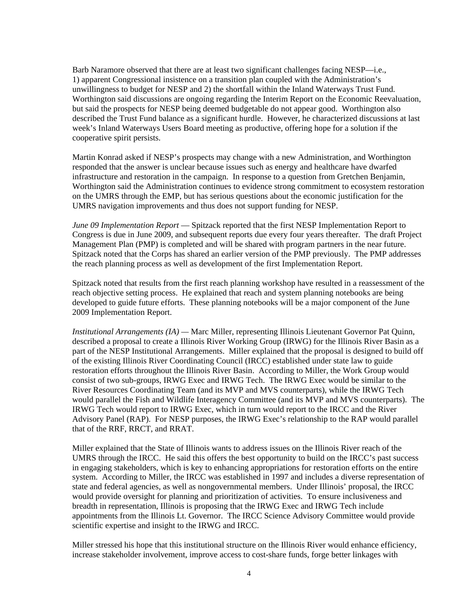Barb Naramore observed that there are at least two significant challenges facing NESP—i.e., 1) apparent Congressional insistence on a transition plan coupled with the Administration's unwillingness to budget for NESP and 2) the shortfall within the Inland Waterways Trust Fund. Worthington said discussions are ongoing regarding the Interim Report on the Economic Reevaluation, but said the prospects for NESP being deemed budgetable do not appear good. Worthington also described the Trust Fund balance as a significant hurdle. However, he characterized discussions at last week's Inland Waterways Users Board meeting as productive, offering hope for a solution if the cooperative spirit persists.

Martin Konrad asked if NESP's prospects may change with a new Administration, and Worthington responded that the answer is unclear because issues such as energy and healthcare have dwarfed infrastructure and restoration in the campaign. In response to a question from Gretchen Benjamin, Worthington said the Administration continues to evidence strong commitment to ecosystem restoration on the UMRS through the EMP, but has serious questions about the economic justification for the UMRS navigation improvements and thus does not support funding for NESP.

*June 09 Implementation Report* — Spitzack reported that the first NESP Implementation Report to Congress is due in June 2009, and subsequent reports due every four years thereafter. The draft Project Management Plan (PMP) is completed and will be shared with program partners in the near future. Spitzack noted that the Corps has shared an earlier version of the PMP previously. The PMP addresses the reach planning process as well as development of the first Implementation Report.

Spitzack noted that results from the first reach planning workshop have resulted in a reassessment of the reach objective setting process. He explained that reach and system planning notebooks are being developed to guide future efforts. These planning notebooks will be a major component of the June 2009 Implementation Report.

*Institutional Arrangements (IA) —* Marc Miller, representing Illinois Lieutenant Governor Pat Quinn, described a proposal to create a Illinois River Working Group (IRWG) for the Illinois River Basin as a part of the NESP Institutional Arrangements. Miller explained that the proposal is designed to build off of the existing Illinois River Coordinating Council (IRCC) established under state law to guide restoration efforts throughout the Illinois River Basin. According to Miller, the Work Group would consist of two sub-groups, IRWG Exec and IRWG Tech. The IRWG Exec would be similar to the River Resources Coordinating Team (and its MVP and MVS counterparts), while the IRWG Tech would parallel the Fish and Wildlife Interagency Committee (and its MVP and MVS counterparts). The IRWG Tech would report to IRWG Exec, which in turn would report to the IRCC and the River Advisory Panel (RAP). For NESP purposes, the IRWG Exec's relationship to the RAP would parallel that of the RRF, RRCT, and RRAT.

Miller explained that the State of Illinois wants to address issues on the Illinois River reach of the UMRS through the IRCC. He said this offers the best opportunity to build on the IRCC's past success in engaging stakeholders, which is key to enhancing appropriations for restoration efforts on the entire system. According to Miller, the IRCC was established in 1997 and includes a diverse representation of state and federal agencies, as well as nongovernmental members. Under Illinois' proposal, the IRCC would provide oversight for planning and prioritization of activities. To ensure inclusiveness and breadth in representation, Illinois is proposing that the IRWG Exec and IRWG Tech include appointments from the Illinois Lt. Governor. The IRCC Science Advisory Committee would provide scientific expertise and insight to the IRWG and IRCC.

Miller stressed his hope that this institutional structure on the Illinois River would enhance efficiency, increase stakeholder involvement, improve access to cost-share funds, forge better linkages with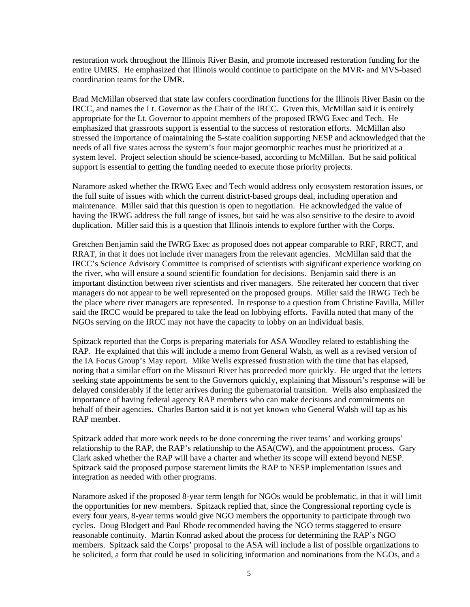restoration work throughout the Illinois River Basin, and promote increased restoration funding for the entire UMRS. He emphasized that Illinois would continue to participate on the MVR- and MVS-based coordination teams for the UMR.

Brad McMillan observed that state law confers coordination functions for the Illinois River Basin on the IRCC, and names the Lt. Governor as the Chair of the IRCC. Given this, McMillan said it is entirely appropriate for the Lt. Governor to appoint members of the proposed IRWG Exec and Tech. He emphasized that grassroots support is essential to the success of restoration efforts. McMillan also stressed the importance of maintaining the 5-state coalition supporting NESP and acknowledged that the needs of all five states across the system's four major geomorphic reaches must be prioritized at a system level. Project selection should be science-based, according to McMillan. But he said political support is essential to getting the funding needed to execute those priority projects.

Naramore asked whether the IRWG Exec and Tech would address only ecosystem restoration issues, or the full suite of issues with which the current district-based groups deal, including operation and maintenance. Miller said that this question is open to negotiation. He acknowledged the value of having the IRWG address the full range of issues, but said he was also sensitive to the desire to avoid duplication. Miller said this is a question that Illinois intends to explore further with the Corps.

Gretchen Benjamin said the IWRG Exec as proposed does not appear comparable to RRF, RRCT, and RRAT, in that it does not include river managers from the relevant agencies. McMillan said that the IRCC's Science Advisory Committee is comprised of scientists with significant experience working on the river, who will ensure a sound scientific foundation for decisions. Benjamin said there is an important distinction between river scientists and river managers. She reiterated her concern that river managers do not appear to be well represented on the proposed groups. Miller said the IRWG Tech be the place where river managers are represented. In response to a question from Christine Favilla, Miller said the IRCC would be prepared to take the lead on lobbying efforts. Favilla noted that many of the NGOs serving on the IRCC may not have the capacity to lobby on an individual basis.

Spitzack reported that the Corps is preparing materials for ASA Woodley related to establishing the RAP. He explained that this will include a memo from General Walsh, as well as a revised version of the IA Focus Group's May report. Mike Wells expressed frustration with the time that has elapsed, noting that a similar effort on the Missouri River has proceeded more quickly. He urged that the letters seeking state appointments be sent to the Governors quickly, explaining that Missouri's response will be delayed considerably if the letter arrives during the gubernatorial transition. Wells also emphasized the importance of having federal agency RAP members who can make decisions and commitments on behalf of their agencies. Charles Barton said it is not yet known who General Walsh will tap as his RAP member.

Spitzack added that more work needs to be done concerning the river teams' and working groups' relationship to the RAP, the RAP's relationship to the ASA(CW), and the appointment process. Gary Clark asked whether the RAP will have a charter and whether its scope will extend beyond NESP. Spitzack said the proposed purpose statement limits the RAP to NESP implementation issues and integration as needed with other programs.

Naramore asked if the proposed 8-year term length for NGOs would be problematic, in that it will limit the opportunities for new members. Spitzack replied that, since the Congressional reporting cycle is every four years, 8-year terms would give NGO members the opportunity to participate through two cycles. Doug Blodgett and Paul Rhode recommended having the NGO terms staggered to ensure reasonable continuity. Martin Konrad asked about the process for determining the RAP's NGO members. Spitzack said the Corps' proposal to the ASA will include a list of possible organizations to be solicited, a form that could be used in soliciting information and nominations from the NGOs, and a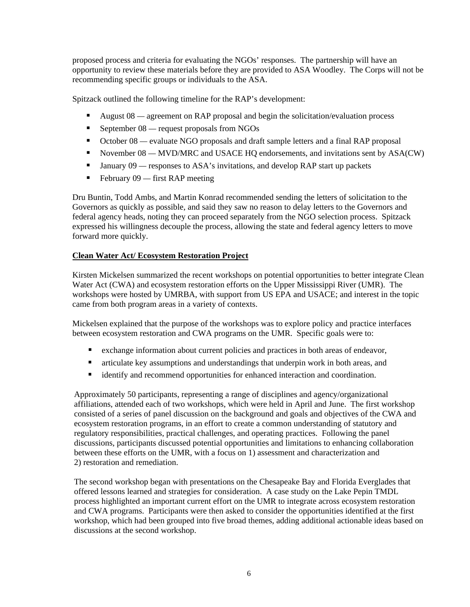proposed process and criteria for evaluating the NGOs' responses. The partnership will have an opportunity to review these materials before they are provided to ASA Woodley. The Corps will not be recommending specific groups or individuals to the ASA.

Spitzack outlined the following timeline for the RAP's development:

- August 08 *—* agreement on RAP proposal and begin the solicitation/evaluation process
- September 08 request proposals from NGOs
- October 08 evaluate NGO proposals and draft sample letters and a final RAP proposal
- November 08 MVD/MRC and USACE HQ endorsements, and invitations sent by ASA(CW)
- January 09 responses to ASA's invitations, and develop RAP start up packets
- February 09 first RAP meeting

Dru Buntin, Todd Ambs, and Martin Konrad recommended sending the letters of solicitation to the Governors as quickly as possible, and said they saw no reason to delay letters to the Governors and federal agency heads, noting they can proceed separately from the NGO selection process. Spitzack expressed his willingness decouple the process, allowing the state and federal agency letters to move forward more quickly.

### **Clean Water Act/ Ecosystem Restoration Project**

Kirsten Mickelsen summarized the recent workshops on potential opportunities to better integrate Clean Water Act (CWA) and ecosystem restoration efforts on the Upper Mississippi River (UMR). The workshops were hosted by UMRBA, with support from US EPA and USACE; and interest in the topic came from both program areas in a variety of contexts.

Mickelsen explained that the purpose of the workshops was to explore policy and practice interfaces between ecosystem restoration and CWA programs on the UMR. Specific goals were to:

- exchange information about current policies and practices in both areas of endeavor,
- articulate key assumptions and understandings that underpin work in both areas, and
- identify and recommend opportunities for enhanced interaction and coordination.

Approximately 50 participants, representing a range of disciplines and agency/organizational affiliations, attended each of two workshops, which were held in April and June. The first workshop consisted of a series of panel discussion on the background and goals and objectives of the CWA and ecosystem restoration programs, in an effort to create a common understanding of statutory and regulatory responsibilities, practical challenges, and operating practices. Following the panel discussions, participants discussed potential opportunities and limitations to enhancing collaboration between these efforts on the UMR, with a focus on 1) assessment and characterization and 2) restoration and remediation.

The second workshop began with presentations on the Chesapeake Bay and Florida Everglades that offered lessons learned and strategies for consideration. A case study on the Lake Pepin TMDL process highlighted an important current effort on the UMR to integrate across ecosystem restoration and CWA programs. Participants were then asked to consider the opportunities identified at the first workshop, which had been grouped into five broad themes, adding additional actionable ideas based on discussions at the second workshop.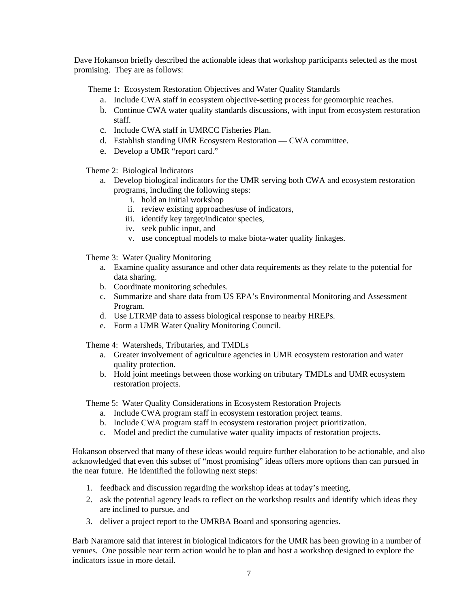Dave Hokanson briefly described the actionable ideas that workshop participants selected as the most promising. They are as follows:

Theme 1: Ecosystem Restoration Objectives and Water Quality Standards

- a. Include CWA staff in ecosystem objective-setting process for geomorphic reaches.
- b. Continue CWA water quality standards discussions, with input from ecosystem restoration staff.
- c. Include CWA staff in UMRCC Fisheries Plan.
- d. Establish standing UMR Ecosystem Restoration CWA committee.
- e. Develop a UMR "report card."

Theme 2: Biological Indicators

- a. Develop biological indicators for the UMR serving both CWA and ecosystem restoration programs, including the following steps:
	- i. hold an initial workshop
	- ii. review existing approaches/use of indicators,
	- iii. identify key target/indicator species,
	- iv. seek public input, and
	- v. use conceptual models to make biota-water quality linkages.

Theme 3: Water Quality Monitoring

- a. Examine quality assurance and other data requirements as they relate to the potential for data sharing.
- b. Coordinate monitoring schedules.
- c. Summarize and share data from US EPA's Environmental Monitoring and Assessment Program.
- d. Use LTRMP data to assess biological response to nearby HREPs.
- e. Form a UMR Water Quality Monitoring Council.

Theme 4: Watersheds, Tributaries, and TMDLs

- a. Greater involvement of agriculture agencies in UMR ecosystem restoration and water quality protection.
- b. Hold joint meetings between those working on tributary TMDLs and UMR ecosystem restoration projects.

Theme 5: Water Quality Considerations in Ecosystem Restoration Projects

- a. Include CWA program staff in ecosystem restoration project teams.
- b. Include CWA program staff in ecosystem restoration project prioritization.
- c. Model and predict the cumulative water quality impacts of restoration projects.

Hokanson observed that many of these ideas would require further elaboration to be actionable, and also acknowledged that even this subset of "most promising" ideas offers more options than can pursued in the near future. He identified the following next steps:

- 1. feedback and discussion regarding the workshop ideas at today's meeting,
- 2. ask the potential agency leads to reflect on the workshop results and identify which ideas they are inclined to pursue, and
- 3. deliver a project report to the UMRBA Board and sponsoring agencies.

Barb Naramore said that interest in biological indicators for the UMR has been growing in a number of venues. One possible near term action would be to plan and host a workshop designed to explore the indicators issue in more detail.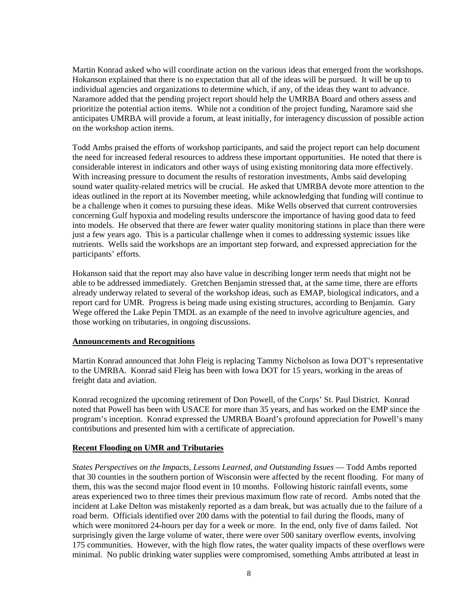Martin Konrad asked who will coordinate action on the various ideas that emerged from the workshops. Hokanson explained that there is no expectation that all of the ideas will be pursued. It will be up to individual agencies and organizations to determine which, if any, of the ideas they want to advance. Naramore added that the pending project report should help the UMRBA Board and others assess and prioritize the potential action items. While not a condition of the project funding, Naramore said she anticipates UMRBA will provide a forum, at least initially, for interagency discussion of possible action on the workshop action items.

Todd Ambs praised the efforts of workshop participants, and said the project report can help document the need for increased federal resources to address these important opportunities. He noted that there is considerable interest in indicators and other ways of using existing monitoring data more effectively. With increasing pressure to document the results of restoration investments, Ambs said developing sound water quality-related metrics will be crucial. He asked that UMRBA devote more attention to the ideas outlined in the report at its November meeting, while acknowledging that funding will continue to be a challenge when it comes to pursuing these ideas. Mike Wells observed that current controversies concerning Gulf hypoxia and modeling results underscore the importance of having good data to feed into models. He observed that there are fewer water quality monitoring stations in place than there were just a few years ago. This is a particular challenge when it comes to addressing systemic issues like nutrients. Wells said the workshops are an important step forward, and expressed appreciation for the participants' efforts.

Hokanson said that the report may also have value in describing longer term needs that might not be able to be addressed immediately. Gretchen Benjamin stressed that, at the same time, there are efforts already underway related to several of the workshop ideas, such as EMAP, biological indicators, and a report card for UMR. Progress is being made using existing structures, according to Benjamin. Gary Wege offered the Lake Pepin TMDL as an example of the need to involve agriculture agencies, and those working on tributaries, in ongoing discussions.

### **Announcements and Recognitions**

Martin Konrad announced that John Fleig is replacing Tammy Nicholson as Iowa DOT's representative to the UMRBA. Konrad said Fleig has been with Iowa DOT for 15 years, working in the areas of freight data and aviation.

Konrad recognized the upcoming retirement of Don Powell, of the Corps' St. Paul District. Konrad noted that Powell has been with USACE for more than 35 years, and has worked on the EMP since the program's inception. Konrad expressed the UMRBA Board's profound appreciation for Powell's many contributions and presented him with a certificate of appreciation.

### **Recent Flooding on UMR and Tributaries**

*States Perspectives on the Impacts, Lessons Learned, and Outstanding Issues* — Todd Ambs reported that 30 counties in the southern portion of Wisconsin were affected by the recent flooding. For many of them, this was the second major flood event in 10 months. Following historic rainfall events, some areas experienced two to three times their previous maximum flow rate of record. Ambs noted that the incident at Lake Delton was mistakenly reported as a dam break, but was actually due to the failure of a road berm. Officials identified over 200 dams with the potential to fail during the floods, many of which were monitored 24-hours per day for a week or more. In the end, only five of dams failed. Not surprisingly given the large volume of water, there were over 500 sanitary overflow events, involving 175 communities. However, with the high flow rates, the water quality impacts of these overflows were minimal. No public drinking water supplies were compromised, something Ambs attributed at least in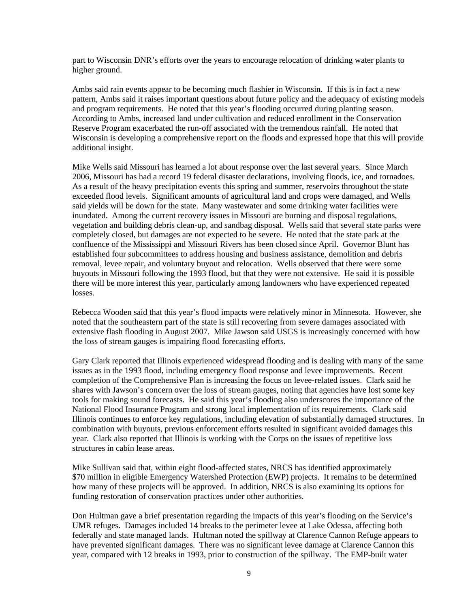part to Wisconsin DNR's efforts over the years to encourage relocation of drinking water plants to higher ground.

Ambs said rain events appear to be becoming much flashier in Wisconsin. If this is in fact a new pattern, Ambs said it raises important questions about future policy and the adequacy of existing models and program requirements. He noted that this year's flooding occurred during planting season. According to Ambs, increased land under cultivation and reduced enrollment in the Conservation Reserve Program exacerbated the run-off associated with the tremendous rainfall. He noted that Wisconsin is developing a comprehensive report on the floods and expressed hope that this will provide additional insight.

Mike Wells said Missouri has learned a lot about response over the last several years. Since March 2006, Missouri has had a record 19 federal disaster declarations, involving floods, ice, and tornadoes. As a result of the heavy precipitation events this spring and summer, reservoirs throughout the state exceeded flood levels. Significant amounts of agricultural land and crops were damaged, and Wells said yields will be down for the state. Many wastewater and some drinking water facilities were inundated. Among the current recovery issues in Missouri are burning and disposal regulations, vegetation and building debris clean-up, and sandbag disposal. Wells said that several state parks were completely closed, but damages are not expected to be severe. He noted that the state park at the confluence of the Mississippi and Missouri Rivers has been closed since April. Governor Blunt has established four subcommittees to address housing and business assistance, demolition and debris removal, levee repair, and voluntary buyout and relocation. Wells observed that there were some buyouts in Missouri following the 1993 flood, but that they were not extensive. He said it is possible there will be more interest this year, particularly among landowners who have experienced repeated losses.

Rebecca Wooden said that this year's flood impacts were relatively minor in Minnesota. However, she noted that the southeastern part of the state is still recovering from severe damages associated with extensive flash flooding in August 2007. Mike Jawson said USGS is increasingly concerned with how the loss of stream gauges is impairing flood forecasting efforts.

Gary Clark reported that Illinois experienced widespread flooding and is dealing with many of the same issues as in the 1993 flood, including emergency flood response and levee improvements. Recent completion of the Comprehensive Plan is increasing the focus on levee-related issues. Clark said he shares with Jawson's concern over the loss of stream gauges, noting that agencies have lost some key tools for making sound forecasts. He said this year's flooding also underscores the importance of the National Flood Insurance Program and strong local implementation of its requirements. Clark said Illinois continues to enforce key regulations, including elevation of substantially damaged structures. In combination with buyouts, previous enforcement efforts resulted in significant avoided damages this year. Clark also reported that Illinois is working with the Corps on the issues of repetitive loss structures in cabin lease areas.

Mike Sullivan said that, within eight flood-affected states, NRCS has identified approximately \$70 million in eligible Emergency Watershed Protection (EWP) projects. It remains to be determined how many of these projects will be approved. In addition, NRCS is also examining its options for funding restoration of conservation practices under other authorities.

Don Hultman gave a brief presentation regarding the impacts of this year's flooding on the Service's UMR refuges. Damages included 14 breaks to the perimeter levee at Lake Odessa, affecting both federally and state managed lands. Hultman noted the spillway at Clarence Cannon Refuge appears to have prevented significant damages. There was no significant levee damage at Clarence Cannon this year, compared with 12 breaks in 1993, prior to construction of the spillway. The EMP-built water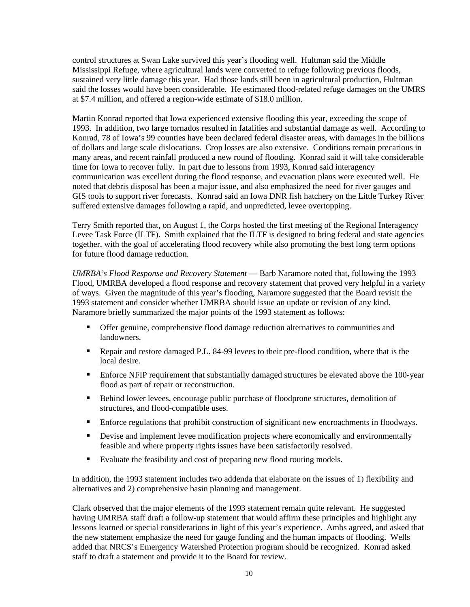control structures at Swan Lake survived this year's flooding well. Hultman said the Middle Mississippi Refuge, where agricultural lands were converted to refuge following previous floods, sustained very little damage this year. Had those lands still been in agricultural production, Hultman said the losses would have been considerable. He estimated flood-related refuge damages on the UMRS at \$7.4 million, and offered a region-wide estimate of \$18.0 million.

Martin Konrad reported that Iowa experienced extensive flooding this year, exceeding the scope of 1993. In addition, two large tornados resulted in fatalities and substantial damage as well. According to Konrad, 78 of Iowa's 99 counties have been declared federal disaster areas, with damages in the billions of dollars and large scale dislocations. Crop losses are also extensive. Conditions remain precarious in many areas, and recent rainfall produced a new round of flooding. Konrad said it will take considerable time for Iowa to recover fully. In part due to lessons from 1993, Konrad said interagency communication was excellent during the flood response, and evacuation plans were executed well. He noted that debris disposal has been a major issue, and also emphasized the need for river gauges and GIS tools to support river forecasts. Konrad said an Iowa DNR fish hatchery on the Little Turkey River suffered extensive damages following a rapid, and unpredicted, levee overtopping.

Terry Smith reported that, on August 1, the Corps hosted the first meeting of the Regional Interagency Levee Task Force (ILTF). Smith explained that the ILTF is designed to bring federal and state agencies together, with the goal of accelerating flood recovery while also promoting the best long term options for future flood damage reduction.

*UMRBA's Flood Response and Recovery Statement* — Barb Naramore noted that, following the 1993 Flood, UMRBA developed a flood response and recovery statement that proved very helpful in a variety of ways. Given the magnitude of this year's flooding, Naramore suggested that the Board revisit the 1993 statement and consider whether UMRBA should issue an update or revision of any kind. Naramore briefly summarized the major points of the 1993 statement as follows:

- Offer genuine, comprehensive flood damage reduction alternatives to communities and landowners.
- Repair and restore damaged P.L. 84-99 levees to their pre-flood condition, where that is the local desire.
- **Enforce NFIP requirement that substantially damaged structures be elevated above the 100-year** flood as part of repair or reconstruction.
- Behind lower levees, encourage public purchase of floodprone structures, demolition of structures, and flood-compatible uses.
- Enforce regulations that prohibit construction of significant new encroachments in floodways.
- Devise and implement levee modification projects where economically and environmentally feasible and where property rights issues have been satisfactorily resolved.
- Evaluate the feasibility and cost of preparing new flood routing models.

In addition, the 1993 statement includes two addenda that elaborate on the issues of 1) flexibility and alternatives and 2) comprehensive basin planning and management.

Clark observed that the major elements of the 1993 statement remain quite relevant. He suggested having UMRBA staff draft a follow-up statement that would affirm these principles and highlight any lessons learned or special considerations in light of this year's experience. Ambs agreed, and asked that the new statement emphasize the need for gauge funding and the human impacts of flooding. Wells added that NRCS's Emergency Watershed Protection program should be recognized. Konrad asked staff to draft a statement and provide it to the Board for review.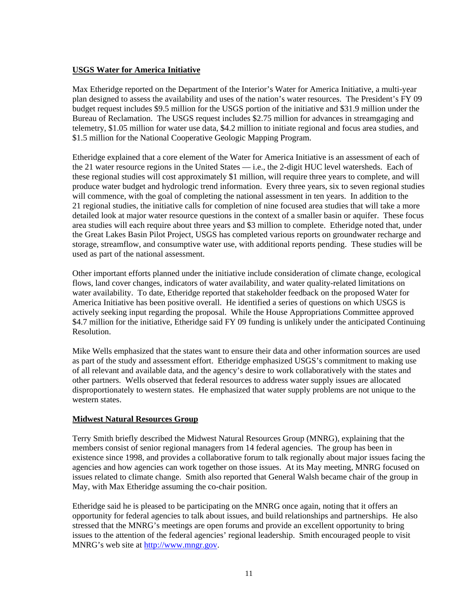## **USGS Water for America Initiative**

Max Etheridge reported on the Department of the Interior's Water for America Initiative, a multi-year plan designed to assess the availability and uses of the nation's water resources. The President's FY 09 budget request includes \$9.5 million for the USGS portion of the initiative and \$31.9 million under the Bureau of Reclamation. The USGS request includes \$2.75 million for advances in streamgaging and telemetry, \$1.05 million for water use data, \$4.2 million to initiate regional and focus area studies, and \$1.5 million for the National Cooperative Geologic Mapping Program.

Etheridge explained that a core element of the Water for America Initiative is an assessment of each of the 21 water resource regions in the United States — i.e., the 2-digit HUC level watersheds. Each of these regional studies will cost approximately \$1 million, will require three years to complete, and will produce water budget and hydrologic trend information. Every three years, six to seven regional studies will commence, with the goal of completing the national assessment in ten years. In addition to the 21 regional studies, the initiative calls for completion of nine focused area studies that will take a more detailed look at major water resource questions in the context of a smaller basin or aquifer. These focus area studies will each require about three years and \$3 million to complete. Etheridge noted that, under the Great Lakes Basin Pilot Project, USGS has completed various reports on groundwater recharge and storage, streamflow, and consumptive water use, with additional reports pending. These studies will be used as part of the national assessment.

Other important efforts planned under the initiative include consideration of climate change, ecological flows, land cover changes, indicators of water availability, and water quality-related limitations on water availability. To date, Etheridge reported that stakeholder feedback on the proposed Water for America Initiative has been positive overall. He identified a series of questions on which USGS is actively seeking input regarding the proposal. While the House Appropriations Committee approved \$4.7 million for the initiative, Etheridge said FY 09 funding is unlikely under the anticipated Continuing Resolution.

Mike Wells emphasized that the states want to ensure their data and other information sources are used as part of the study and assessment effort. Etheridge emphasized USGS's commitment to making use of all relevant and available data, and the agency's desire to work collaboratively with the states and other partners. Wells observed that federal resources to address water supply issues are allocated disproportionately to western states. He emphasized that water supply problems are not unique to the western states.

## **Midwest Natural Resources Group**

Terry Smith briefly described the Midwest Natural Resources Group (MNRG), explaining that the members consist of senior regional managers from 14 federal agencies. The group has been in existence since 1998, and provides a collaborative forum to talk regionally about major issues facing the agencies and how agencies can work together on those issues. At its May meeting, MNRG focused on issues related to climate change. Smith also reported that General Walsh became chair of the group in May, with Max Etheridge assuming the co-chair position.

Etheridge said he is pleased to be participating on the MNRG once again, noting that it offers an opportunity for federal agencies to talk about issues, and build relationships and partnerships. He also stressed that the MNRG's meetings are open forums and provide an excellent opportunity to bring issues to the attention of the federal agencies' regional leadership. Smith encouraged people to visit MNRG's web site at [http://www.mngr.gov.](http://www.mngr.gov/)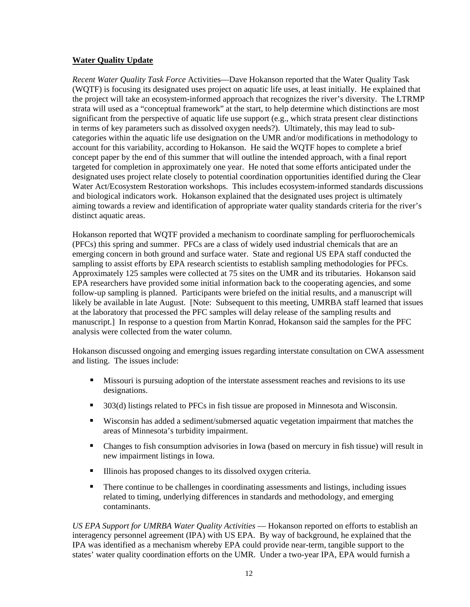### **Water Quality Update**

*Recent Water Quality Task Force* Activities—Dave Hokanson reported that the Water Quality Task (WQTF) is focusing its designated uses project on aquatic life uses, at least initially. He explained that the project will take an ecosystem-informed approach that recognizes the river's diversity. The LTRMP strata will used as a "conceptual framework" at the start, to help determine which distinctions are most significant from the perspective of aquatic life use support (e.g., which strata present clear distinctions in terms of key parameters such as dissolved oxygen needs?). Ultimately, this may lead to subcategories within the aquatic life use designation on the UMR and/or modifications in methodology to account for this variability, according to Hokanson. He said the WQTF hopes to complete a brief concept paper by the end of this summer that will outline the intended approach, with a final report targeted for completion in approximately one year. He noted that some efforts anticipated under the designated uses project relate closely to potential coordination opportunities identified during the Clear Water Act/Ecosystem Restoration workshops. This includes ecosystem-informed standards discussions and biological indicators work. Hokanson explained that the designated uses project is ultimately aiming towards a review and identification of appropriate water quality standards criteria for the river's distinct aquatic areas.

Hokanson reported that WQTF provided a mechanism to coordinate sampling for perfluorochemicals (PFCs) this spring and summer. PFCs are a class of widely used industrial chemicals that are an emerging concern in both ground and surface water. State and regional US EPA staff conducted the sampling to assist efforts by EPA research scientists to establish sampling methodologies for PFCs. Approximately 125 samples were collected at 75 sites on the UMR and its tributaries. Hokanson said EPA researchers have provided some initial information back to the cooperating agencies, and some follow-up sampling is planned. Participants were briefed on the initial results, and a manuscript will likely be available in late August. [Note: Subsequent to this meeting, UMRBA staff learned that issues at the laboratory that processed the PFC samples will delay release of the sampling results and manuscript.] In response to a question from Martin Konrad, Hokanson said the samples for the PFC analysis were collected from the water column.

Hokanson discussed ongoing and emerging issues regarding interstate consultation on CWA assessment and listing. The issues include:

- Missouri is pursuing adoption of the interstate assessment reaches and revisions to its use designations.
- 303(d) listings related to PFCs in fish tissue are proposed in Minnesota and Wisconsin.
- Wisconsin has added a sediment/submersed aquatic vegetation impairment that matches the areas of Minnesota's turbidity impairment.
- Changes to fish consumption advisories in Iowa (based on mercury in fish tissue) will result in new impairment listings in Iowa.
- Illinois has proposed changes to its dissolved oxygen criteria.
- There continue to be challenges in coordinating assessments and listings, including issues related to timing, underlying differences in standards and methodology, and emerging contaminants.

*US EPA Support for UMRBA Water Quality Activities* — Hokanson reported on efforts to establish an interagency personnel agreement (IPA) with US EPA. By way of background, he explained that the IPA was identified as a mechanism whereby EPA could provide near-term, tangible support to the states' water quality coordination efforts on the UMR. Under a two-year IPA, EPA would furnish a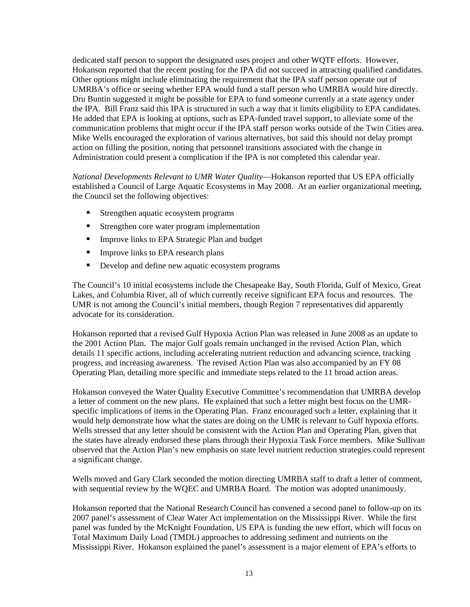dedicated staff person to support the designated uses project and other WQTF efforts. However, Hokanson reported that the recent posting for the IPA did not succeed in attracting qualified candidates. Other options might include eliminating the requirement that the IPA staff person operate out of UMRBA's office or seeing whether EPA would fund a staff person who UMRBA would hire directly. Dru Buntin suggested it might be possible for EPA to fund someone currently at a state agency under the IPA. Bill Franz said this IPA is structured in such a way that it limits eligibility to EPA candidates. He added that EPA is looking at options, such as EPA-funded travel support, to alleviate some of the communication problems that might occur if the IPA staff person works outside of the Twin Cities area. Mike Wells encouraged the exploration of various alternatives, but said this should not delay prompt action on filling the position, noting that personnel transitions associated with the change in Administration could present a complication if the IPA is not completed this calendar year.

*National Developments Relevant to UMR Water Quality*—Hokanson reported that US EPA officially established a Council of Large Aquatic Ecosystems in May 2008. At an earlier organizational meeting, the Council set the following objectives:

- Strengthen aquatic ecosystem programs
- Strengthen core water program implementation
- Improve links to EPA Strategic Plan and budget
- **IMPROVE LIGK** Inks to EPA research plans
- Develop and define new aquatic ecosystem programs

The Council's 10 initial ecosystems include the Chesapeake Bay, South Florida, Gulf of Mexico, Great Lakes, and Columbia River, all of which currently receive significant EPA focus and resources. The UMR is not among the Council's initial members, though Region 7 representatives did apparently advocate for its consideration.

Hokanson reported that a revised Gulf Hypoxia Action Plan was released in June 2008 as an update to the 2001 Action Plan. The major Gulf goals remain unchanged in the revised Action Plan, which details 11 specific actions, including accelerating nutrient reduction and advancing science, tracking progress, and increasing awareness. The revised Action Plan was also accompanied by an FY 08 Operating Plan, detailing more specific and immediate steps related to the 11 broad action areas.

Hokanson conveyed the Water Quality Executive Committee's recommendation that UMRBA develop a letter of comment on the new plans. He explained that such a letter might best focus on the UMRspecific implications of items in the Operating Plan. Franz encouraged such a letter, explaining that it would help demonstrate how what the states are doing on the UMR is relevant to Gulf hypoxia efforts. Wells stressed that any letter should be consistent with the Action Plan and Operating Plan, given that the states have already endorsed these plans through their Hypoxia Task Force members. Mike Sullivan observed that the Action Plan's new emphasis on state level nutrient reduction strategies could represent a significant change.

Wells moved and Gary Clark seconded the motion directing UMRBA staff to draft a letter of comment, with sequential review by the WQEC and UMRBA Board. The motion was adopted unanimously.

Hokanson reported that the National Research Council has convened a second panel to follow-up on its 2007 panel's assessment of Clear Water Act implementation on the Mississippi River. While the first panel was funded by the McKnight Foundation, US EPA is funding the new effort, which will focus on Total Maximum Daily Load (TMDL) approaches to addressing sediment and nutrients on the Mississippi River. Hokanson explained the panel's assessment is a major element of EPA's efforts to